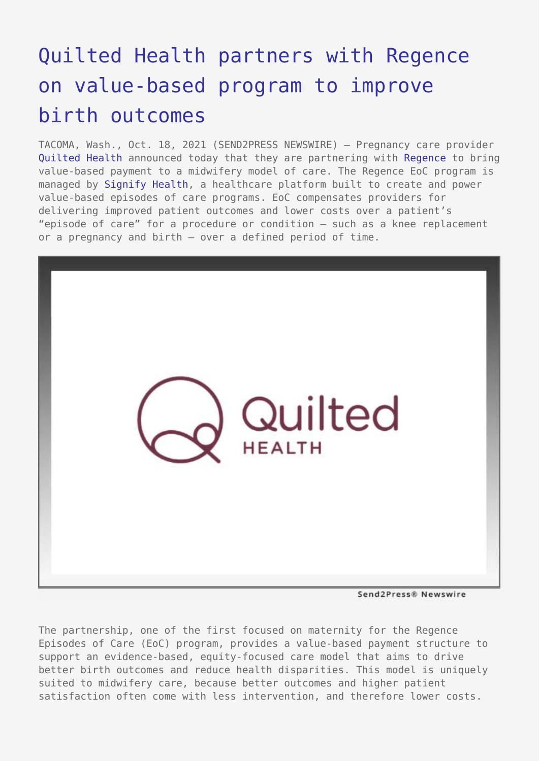## [Quilted Health partners with Regence](https://www.send2press.com/wire/quilted-health-partners-with-regence-on-value-based-program-to-improve-birth-outcomes/) [on value-based program to improve](https://www.send2press.com/wire/quilted-health-partners-with-regence-on-value-based-program-to-improve-birth-outcomes/) [birth outcomes](https://www.send2press.com/wire/quilted-health-partners-with-regence-on-value-based-program-to-improve-birth-outcomes/)

TACOMA, Wash., Oct. 18, 2021 (SEND2PRESS NEWSWIRE) — Pregnancy care provider [Quilted Health](https://www.quiltedhealth.com/?utm_source=pr&utm_medium=website&utm_campaign=regence) announced today that they are partnering with [Regence](https://www.regence.com/home) to bring value-based payment to a midwifery model of care. The Regence EoC program is managed by [Signify Health](https://www.signifyhealth.com/solutions-episodes-of-care), a healthcare platform built to create and power value-based episodes of care programs. EoC compensates providers for delivering improved patient outcomes and lower costs over a patient's "episode of care" for a procedure or condition – such as a knee replacement or a pregnancy and birth – over a defined period of time.



Send2Press® Newswire

The partnership, one of the first focused on maternity for the Regence Episodes of Care (EoC) program, provides a value-based payment structure to support an evidence-based, equity-focused care model that aims to drive better birth outcomes and reduce health disparities. This model is uniquely suited to midwifery care, because better outcomes and higher patient satisfaction often come with less intervention, and therefore lower costs.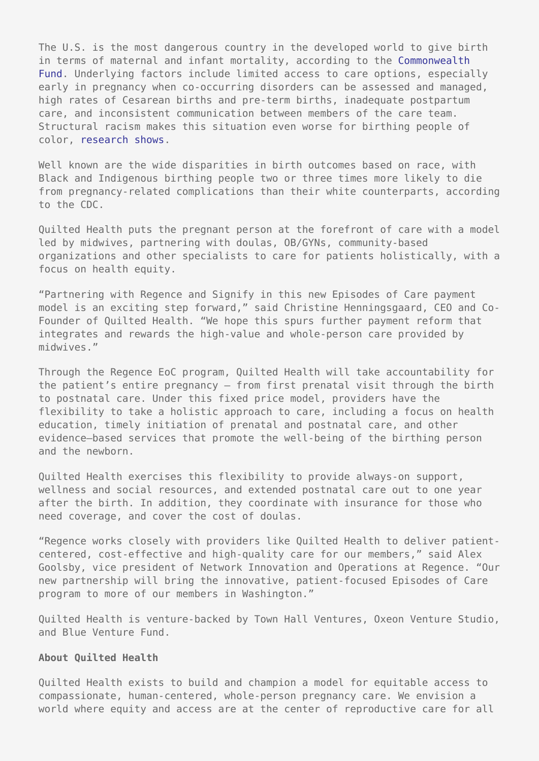The U.S. is the most dangerous country in the developed world to give birth in terms of maternal and infant mortality, according to the [Commonwealth](https://www.commonwealthfund.org/publications/issue-brief-report/2020/dec/maternal-mortality-united-states-primer) [Fund](https://www.commonwealthfund.org/publications/issue-brief-report/2020/dec/maternal-mortality-united-states-primer). Underlying factors include limited access to care options, especially early in pregnancy when co-occurring disorders can be assessed and managed, high rates of Cesarean births and pre-term births, inadequate postpartum care, and inconsistent communication between members of the care team. Structural racism makes this situation even worse for birthing people of color, [research shows.](https://www.aappublications.org/news/2021/05/01/pas-birth-outcome-disparities-050121)

Well known are the wide disparities in birth outcomes based on race, with Black and Indigenous birthing people two or three times more likely to die from pregnancy-related complications than their white counterparts, according to the CDC.

Quilted Health puts the pregnant person at the forefront of care with a model led by midwives, partnering with doulas, OB/GYNs, community-based organizations and other specialists to care for patients holistically, with a focus on health equity.

"Partnering with Regence and Signify in this new Episodes of Care payment model is an exciting step forward," said Christine Henningsgaard, CEO and Co-Founder of Quilted Health. "We hope this spurs further payment reform that integrates and rewards the high-value and whole-person care provided by midwives."

Through the Regence EoC program, Quilted Health will take accountability for the patient's entire pregnancy – from first prenatal visit through the birth to postnatal care. Under this fixed price model, providers have the flexibility to take a holistic approach to care, including a focus on health education, timely initiation of prenatal and postnatal care, and other evidence–based services that promote the well-being of the birthing person and the newborn.

Quilted Health exercises this flexibility to provide always-on support, wellness and social resources, and extended postnatal care out to one year after the birth. In addition, they coordinate with insurance for those who need coverage, and cover the cost of doulas.

"Regence works closely with providers like Quilted Health to deliver patientcentered, cost-effective and high-quality care for our members," said Alex Goolsby, vice president of Network Innovation and Operations at Regence. "Our new partnership will bring the innovative, patient-focused Episodes of Care program to more of our members in Washington."

Quilted Health is venture-backed by Town Hall Ventures, Oxeon Venture Studio, and Blue Venture Fund.

## **About Quilted Health**

Quilted Health exists to build and champion a model for equitable access to compassionate, human-centered, whole-person pregnancy care. We envision a world where equity and access are at the center of reproductive care for all